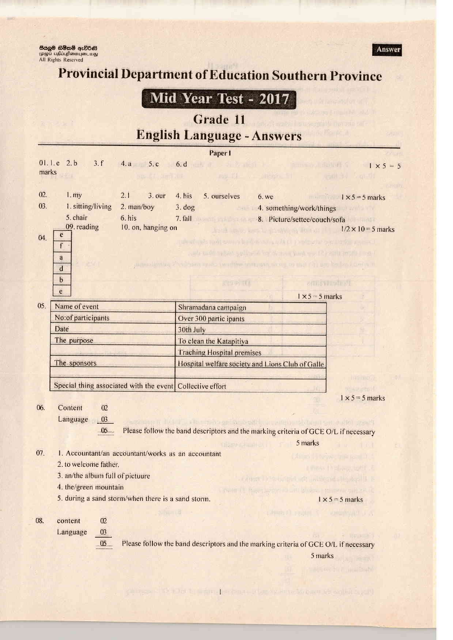<mark>සියලූම හිමිකම් ඇවිරිණි</mark><br>முழுப் பதிப்புரிமையுடையது<br>All Rights Reserved



## **Provincial Department of Education Southern Province**

## Mid Year Test - 2017

## Grade 11 **English Language - Answers**

| Paper I                          |                                                           |                          |                                                                                             |                                                                      |                                   |  |  |  |  |  |  |
|----------------------------------|-----------------------------------------------------------|--------------------------|---------------------------------------------------------------------------------------------|----------------------------------------------------------------------|-----------------------------------|--|--|--|--|--|--|
| 01.1.e 2.b<br>3.f<br>4.a 5.c 6.d |                                                           |                          | perk of its of the ment begins to the main a statistical final                              | $1 \times 5 = 5$                                                     |                                   |  |  |  |  |  |  |
| marks<br>sus di duritat è        |                                                           |                          |                                                                                             | where the virtualized and control in the                             |                                   |  |  |  |  |  |  |
| 02.                              | 1. <i>my</i>                                              | 2.1<br>3.0 <sub>ur</sub> | 4. his<br>5. ourselves                                                                      | 6. we                                                                | $1 \times 5 = 5$ marks            |  |  |  |  |  |  |
| 03.                              | 1. sitting/living                                         | 2. man/boy               | $3.$ dog<br><b>BUT 11</b>                                                                   | 4. something/work/things                                             |                                   |  |  |  |  |  |  |
|                                  | 5. chair                                                  | 6. his                   | 7. fall 3. Picture/settee/couch/sofa                                                        |                                                                      |                                   |  |  |  |  |  |  |
|                                  | 09. reading                                               | 10. on, hanging on       |                                                                                             |                                                                      | $1/2 \times 10 = 5$ marks         |  |  |  |  |  |  |
| 04.                              | $\overline{c}$                                            |                          | minuturis patterns in Witherland Diritto Pattients and T                                    |                                                                      |                                   |  |  |  |  |  |  |
|                                  | f                                                         |                          |                                                                                             | hands and the particular to the stand and was the statement than the |                                   |  |  |  |  |  |  |
|                                  | a<br>$\overline{\mathbf{d}}$                              |                          | in problems a greater read in minimum and a coupled in any bulket point in                  |                                                                      |                                   |  |  |  |  |  |  |
|                                  | $\mathbf b$<br>e                                          |                          | 2일 도와 대표                                                                                    |                                                                      | 折明计 第四                            |  |  |  |  |  |  |
|                                  |                                                           |                          |                                                                                             | $1 \times 5 = 5$ marks                                               |                                   |  |  |  |  |  |  |
| 05.                              | Name of event                                             |                          | Shramadana campaign                                                                         |                                                                      |                                   |  |  |  |  |  |  |
|                                  | No:of participants                                        |                          | Over 300 partic ipants                                                                      |                                                                      |                                   |  |  |  |  |  |  |
|                                  | Date                                                      |                          | 30th July                                                                                   |                                                                      |                                   |  |  |  |  |  |  |
|                                  | The purpose                                               |                          | To clean the Katapitiya                                                                     |                                                                      |                                   |  |  |  |  |  |  |
|                                  |                                                           |                          | <b>Traching Hospital premises</b>                                                           |                                                                      |                                   |  |  |  |  |  |  |
|                                  | The sponsors                                              |                          | Hospital welfare society and Lions Club of Galle                                            |                                                                      |                                   |  |  |  |  |  |  |
|                                  | Special thing associated with the event Collective effort |                          |                                                                                             |                                                                      | <b>INDINOW</b><br>Finite and Tax  |  |  |  |  |  |  |
|                                  |                                                           |                          |                                                                                             |                                                                      | $1 \times 5 = 5$ marks            |  |  |  |  |  |  |
| 06.                              | Content<br>02                                             |                          |                                                                                             |                                                                      |                                   |  |  |  |  |  |  |
|                                  | Language<br>03                                            |                          | page tons in the first of the residence of the second states and the second in questions of |                                                                      |                                   |  |  |  |  |  |  |
|                                  | $-05$                                                     |                          | Please follow the band descriptors and the marking criteria of GCE O/L if necessary         |                                                                      |                                   |  |  |  |  |  |  |
|                                  |                                                           |                          | <b>GRAND PRODUCT IN</b>                                                                     | 5 marks                                                              | ii me<br>1.1/1                    |  |  |  |  |  |  |
| 07.                              | 1. Accountant/an accountant/works as an accountant        |                          |                                                                                             |                                                                      | (At in 1982) we make all the      |  |  |  |  |  |  |
|                                  | 2. to welcome father.                                     |                          |                                                                                             |                                                                      | a maio finalling, lattif. E       |  |  |  |  |  |  |
|                                  | 3. an/the album full of pictuure                          |                          |                                                                                             | <b>CONTROLLING OF BUILDING CONTROLLER</b>                            |                                   |  |  |  |  |  |  |
|                                  | 4. the/green mountain                                     |                          |                                                                                             | LYNNI IL Romanny di Lina a observemento più et la                    |                                   |  |  |  |  |  |  |
|                                  | 5. during a sand storm/when there is a sand storm.        |                          |                                                                                             |                                                                      | $1 \times 5 = 5$ marks            |  |  |  |  |  |  |
| 08.                              | 02<br>content                                             |                          | Shanis -                                                                                    | partners of a region of the complete star                            |                                   |  |  |  |  |  |  |
|                                  | 03<br>Language                                            |                          |                                                                                             |                                                                      |                                   |  |  |  |  |  |  |
|                                  | 05                                                        |                          | Please follow the band descriptors and the marking criteria of GCE O/L if necessary         |                                                                      | say a newspate<br>43              |  |  |  |  |  |  |
|                                  |                                                           |                          |                                                                                             | 5 marks                                                              |                                   |  |  |  |  |  |  |
|                                  |                                                           |                          |                                                                                             |                                                                      |                                   |  |  |  |  |  |  |
|                                  |                                                           |                          |                                                                                             |                                                                      | $= 0.14148821647$ $+ 0.011532567$ |  |  |  |  |  |  |

a lot by industrial common information in home of walking and